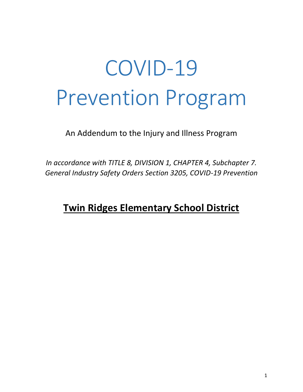An Addendum to the Injury and Illness Program

*In accordance with TITLE 8, DIVISION 1, CHAPTER 4, Subchapter 7. General Industry Safety Orders Section 3205, COVID-19 Prevention*

# **Twin Ridges Elementary School District**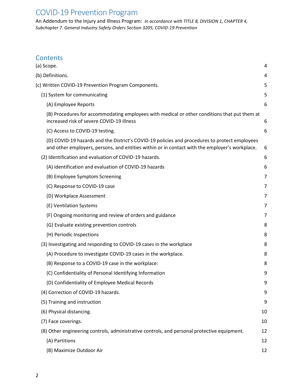An Addendum to the Injury and Illness Program: *In accordance with TITLE 8, DIVISION 1, CHAPTER 4, Subchapter 7. General Industry Safety Orders Section 3205, COVID-19 Prevention*

## **Contents**

| (a) Scope.                                                                                                                                                                                      | 4              |
|-------------------------------------------------------------------------------------------------------------------------------------------------------------------------------------------------|----------------|
| (b) Definitions.                                                                                                                                                                                | 4              |
| (c) Written COVID-19 Prevention Program Components.                                                                                                                                             | 5              |
| (1) System for communicating                                                                                                                                                                    | 5              |
| (A) Employee Reports                                                                                                                                                                            | 6              |
| (B) Procedures for accommodating employees with medical or other conditions that put them at<br>increased risk of severe COVID-19 illness                                                       | 6              |
| (C) Access to COVID-19 testing.                                                                                                                                                                 | 6              |
| (D) COVID-19 hazards and the District's COVID-19 policies and procedures to protect employees<br>and other employers, persons, and entities within or in contact with the employer's workplace. | 6              |
| (2) Identification and evaluation of COVID-19 hazards.                                                                                                                                          | 6              |
| (A) identification and evaluation of COVID-19 hazards                                                                                                                                           | 6              |
| (B) Employee Symptom Screening                                                                                                                                                                  | 7              |
| (C) Response to COVID-19 case                                                                                                                                                                   | 7              |
| (D) Workplace Assessment                                                                                                                                                                        | 7              |
| (E) Ventilation Systems                                                                                                                                                                         | $\overline{7}$ |
| (F) Ongoing monitoring and review of orders and guidance                                                                                                                                        | 7              |
| (G) Evaluate existing prevention controls                                                                                                                                                       | 8              |
| (H) Periodic Inspections                                                                                                                                                                        | 8              |
| (3) Investigating and responding to COVID-19 cases in the workplace                                                                                                                             | 8              |
| (A) Procedure to investigate COVID-19 cases in the workplace.                                                                                                                                   | 8              |
| (B) Response to a COVID-19 case in the workplace:                                                                                                                                               | 8              |
| (C) Confidentiality of Personal Identifying Information                                                                                                                                         | 9              |
| (D) Confidentiality of Employee Medical Records                                                                                                                                                 | 9              |
| (4) Correction of COVID-19 hazards.                                                                                                                                                             | 9              |
| (5) Training and instruction                                                                                                                                                                    | 9              |
| (6) Physical distancing.                                                                                                                                                                        | 10             |
| (7) Face coverings.                                                                                                                                                                             | 10             |
| (8) Other engineering controls, administrative controls, and personal protective equipment.                                                                                                     | 12             |
| (A) Partitions                                                                                                                                                                                  | 12             |
| (B) Maximize Outdoor Air                                                                                                                                                                        | 12             |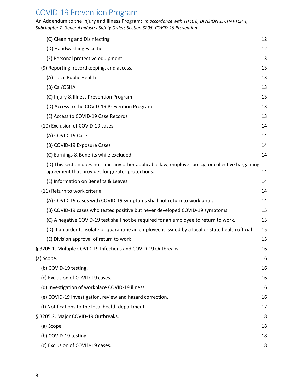An Addendum to the Injury and Illness Program: *In accordance with TITLE 8, DIVISION 1, CHAPTER 4, Subchapter 7. General Industry Safety Orders Section 3205, COVID-19 Prevention*

| (C) Cleaning and Disinfecting                                                                                                                           | 12 |
|---------------------------------------------------------------------------------------------------------------------------------------------------------|----|
| (D) Handwashing Facilities                                                                                                                              | 12 |
| (E) Personal protective equipment.                                                                                                                      | 13 |
| (9) Reporting, recordkeeping, and access.                                                                                                               | 13 |
| (A) Local Public Health                                                                                                                                 | 13 |
| (B) Cal/OSHA                                                                                                                                            | 13 |
| (C) Injury & Illness Prevention Program                                                                                                                 | 13 |
| (D) Access to the COVID-19 Prevention Program                                                                                                           | 13 |
| (E) Access to COVID-19 Case Records                                                                                                                     | 13 |
| (10) Exclusion of COVID-19 cases.                                                                                                                       | 14 |
| (A) COVID-19 Cases                                                                                                                                      | 14 |
| (B) COVID-19 Exposure Cases                                                                                                                             | 14 |
| (C) Earnings & Benefits while excluded                                                                                                                  | 14 |
| (D) This section does not limit any other applicable law, employer policy, or collective bargaining<br>agreement that provides for greater protections. | 14 |
| (E) Information on Benefits & Leaves                                                                                                                    | 14 |
| (11) Return to work criteria.                                                                                                                           | 14 |
| (A) COVID-19 cases with COVID-19 symptoms shall not return to work until:                                                                               | 14 |
| (B) COVID-19 cases who tested positive but never developed COVID-19 symptoms                                                                            | 15 |
| (C) A negative COVID-19 test shall not be required for an employee to return to work.                                                                   | 15 |
| (D) If an order to isolate or quarantine an employee is issued by a local or state health official                                                      | 15 |
| (E) Division approval of return to work                                                                                                                 | 15 |
| § 3205.1. Multiple COVID-19 Infections and COVID-19 Outbreaks.                                                                                          | 16 |
| (a) Scope.                                                                                                                                              | 16 |
| (b) COVID-19 testing.                                                                                                                                   | 16 |
| (c) Exclusion of COVID-19 cases.                                                                                                                        | 16 |
| (d) Investigation of workplace COVID-19 illness.                                                                                                        | 16 |
| (e) COVID-19 Investigation, review and hazard correction.                                                                                               | 16 |
| (f) Notifications to the local health department.                                                                                                       | 17 |
| § 3205.2. Major COVID-19 Outbreaks.                                                                                                                     | 18 |
| (a) Scope.                                                                                                                                              | 18 |
| (b) COVID-19 testing.                                                                                                                                   | 18 |
| (c) Exclusion of COVID-19 cases.                                                                                                                        | 18 |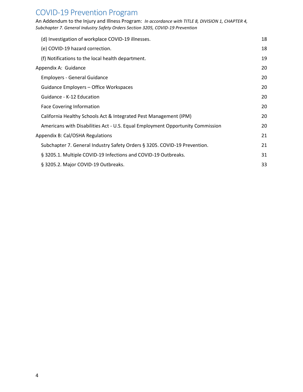An Addendum to the Injury and Illness Program: *In accordance with TITLE 8, DIVISION 1, CHAPTER 4, Subchapter 7. General Industry Safety Orders Section 3205, COVID-19 Prevention*

| (d) Investigation of workplace COVID-19 illnesses.                             | 18 |
|--------------------------------------------------------------------------------|----|
| (e) COVID-19 hazard correction.                                                | 18 |
| (f) Notifications to the local health department.                              | 19 |
| Appendix A: Guidance                                                           | 20 |
| <b>Employers - General Guidance</b>                                            | 20 |
| Guidance Employers – Office Workspaces                                         | 20 |
| Guidance - K-12 Education                                                      | 20 |
| <b>Face Covering Information</b>                                               | 20 |
| California Healthy Schools Act & Integrated Pest Management (IPM)              | 20 |
| Americans with Disabilities Act - U.S. Equal Employment Opportunity Commission | 20 |
| Appendix B: Cal/OSHA Regulations                                               | 21 |
| Subchapter 7. General Industry Safety Orders § 3205. COVID-19 Prevention.      | 21 |
| § 3205.1. Multiple COVID-19 Infections and COVID-19 Outbreaks.                 | 31 |
| § 3205.2. Major COVID-19 Outbreaks.                                            | 33 |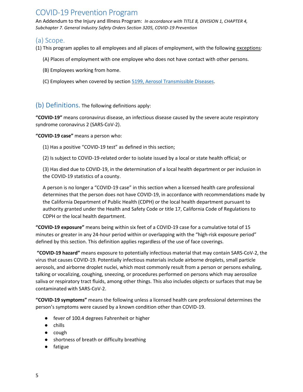An Addendum to the Injury and Illness Program: *In accordance with TITLE 8, DIVISION 1, CHAPTER 4, Subchapter 7. General Industry Safety Orders Section 3205, COVID-19 Prevention*

## <span id="page-4-0"></span>(a) Scope.

(1) This program applies to all employees and all places of employment, with the following exceptions:

- (A) Places of employment with one employee who does not have contact with other persons.
- (B) Employees working from home.
- (C) Employees when covered by section [5199, Aerosol Transmissible Diseases.](https://www.dir.ca.gov/title8/5199.html)

#### <span id="page-4-1"></span>(b) Definitions. The following definitions apply:

**"COVID-19"** means coronavirus disease, an infectious disease caused by the severe acute respiratory syndrome coronavirus 2 (SARS-CoV-2).

#### **"COVID-19 case"** means a person who:

(1) Has a positive "COVID-19 test" as defined in this section;

(2) Is subject to COVID-19-related order to isolate issued by a local or state health official; or

(3) Has died due to COVID-19, in the determination of a local health department or per inclusion in the COVID-19 statistics of a county.

A person is no longer a "COVID-19 case" in this section when a licensed health care professional determines that the person does not have COVID-19, in accordance with recommendations made by the California Department of Public Health (CDPH) or the local health department pursuant to authority granted under the Health and Safety Code or title 17, California Code of Regulations to CDPH or the local health department.

**"COVID-19 exposure"** means being within six feet of a COVID-19 case for a cumulative total of 15 minutes or greater in any 24-hour period within or overlapping with the "high-risk exposure period" defined by this section. This definition applies regardless of the use of face coverings.

**"COVID-19 hazard"** means exposure to potentially infectious material that may contain SARS-CoV-2, the virus that causes COVID-19. Potentially infectious materials include airborne droplets, small particle aerosols, and airborne droplet nuclei, which most commonly result from a person or persons exhaling, talking or vocalizing, coughing, sneezing, or procedures performed on persons which may aerosolize saliva or respiratory tract fluids, among other things. This also includes objects or surfaces that may be contaminated with SARS-CoV-2.

**"COVID-19 symptoms"** means the following unless a licensed health care professional determines the person's symptoms were caused by a known condition other than COVID-19.

- fever of 100.4 degrees Fahrenheit or higher
- chills
- cough
- shortness of breath or difficulty breathing
- fatigue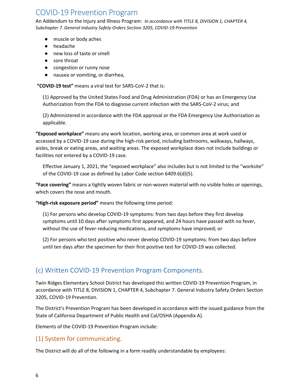An Addendum to the Injury and Illness Program: *In accordance with TITLE 8, DIVISION 1, CHAPTER 4, Subchapter 7. General Industry Safety Orders Section 3205, COVID-19 Prevention*

- muscle or body aches
- headache
- new loss of taste or smell
- sore throat
- congestion or runny nose
- nausea or vomiting, or diarrhea,

**"COVID-19 test"** means a viral test for SARS-CoV-2 that is:

(1) Approved by the United States Food and Drug Administration (FDA) or has an Emergency Use Authorization from the FDA to diagnose current infection with the SARS-CoV-2 virus; and

(2) Administered in accordance with the FDA approval or the FDA Emergency Use Authorization as applicable.

**"Exposed workplace"** means any work location, working area, or common area at work used or accessed by a COVID-19 case during the high-risk period, including bathrooms, walkways, hallways, aisles, break or eating areas, and waiting areas. The exposed workplace does not include buildings or facilities not entered by a COVID-19 case.

Effective January 1, 2021, the "exposed workplace" also includes but is not limited to the "worksite" of the COVID-19 case as defined by Labor Code section 6409.6(d)(5).

**"Face covering"** means a tightly woven fabric or non-woven material with no visible holes or openings, which covers the nose and mouth.

**"High-risk exposure period"** means the following time period:

(1) For persons who develop COVID-19 symptoms: from two days before they first develop symptoms until 10 days after symptoms first appeared, and 24 hours have passed with no fever, without the use of fever-reducing medications, and symptoms have improved; or

(2) For persons who test positive who never develop COVID-19 symptoms: from two days before until ten days after the specimen for their first positive test for COVID-19 was collected.

## <span id="page-5-0"></span>(c) Written COVID-19 Prevention Program Components.

Twin Ridges Elementary School District has developed this written COVID-19 Prevention Program, in accordance with TITLE 8, DIVISION 1, CHAPTER 4, Subchapter 7. General Industry Safety Orders Section 3205, COVID-19 Prevention.

The District's Prevention Program has been developed in accordance with the issued guidance from the State of California Department of Public Health and Cal/OSHA (Appendix A).

Elements of the COVID-19 Prevention Program include:

## <span id="page-5-1"></span>(1) System for communicating.

The District will do all of the following in a form readily understandable by employees: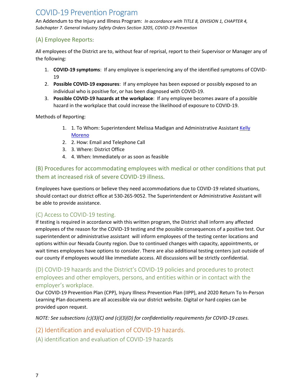An Addendum to the Injury and Illness Program: *In accordance with TITLE 8, DIVISION 1, CHAPTER 4, Subchapter 7. General Industry Safety Orders Section 3205, COVID-19 Prevention*

## <span id="page-6-0"></span>(A) Employee Reports:

All employees of the District are to, without fear of reprisal, report to their Supervisor or Manager any of the following:

- 1. **COVID-19 symptoms**: If any employee is experiencing any of the identified symptoms of COVID-19
- 2. **Possible COVID-19 exposures**: If any employee has been exposed or possibly exposed to an individual who is positive for, or has been diagnosed with COVID-19.
- 3. **Possible COVID-19 hazards at the workplace**: If any employee becomes aware of a possible hazard in the workplace that could increase the likelihood of exposure to COVID-19.

Methods of Reporting:

- 1. 1. To Whom: Superintendent Melissa Madigan and Administrative Assistant Kelly [Moreno](mailto:kmoreno@tresd.org)
- 2. 2. How: Email and Telephone Call
- 3. 3. Where: District Office
- 4. 4. When: Immediately or as soon as feasible

<span id="page-6-1"></span>(B) Procedures for accommodating employees with medical or other conditions that put them at increased risk of severe COVID-19 illness.

Employees have questions or believe they need accommodations due to COVID-19 related situations, should contact our district office at 530-265-9052. The Superintendent or Administrative Assistant will be able to provide assistance.

## <span id="page-6-2"></span>(C) Access to COVID-19 testing.

If testing is required in accordance with this written program, the District shall inform any affected employees of the reason for the COVID-19 testing and the possible consequences of a positive test. Our superintendent or administrative assistant will inform employees of the testing center locations and options within our Nevada County region. Due to continued changes with capacity, appointments, or wait times employees have options to consider. There are also additional testing centers just outside of our county if employees would like immediate access. All discussions will be strictly confidential.

<span id="page-6-3"></span>(D) COVID-19 hazards and the District's COVID-19 policies and procedures to protect employees and other employers, persons, and entities within or in contact with the employer's workplace.

Our COVID-19 Prevention Plan (CPP), Injury Illness Prevention Plan (IIPP), and 2020 Return To In-Person Learning Plan documents are all accessible via our district website. Digital or hard copies can be provided upon request.

*NOTE: See subsections (c)(3)(C) and (c)(3)(D) for confidentiality requirements for COVID-19 cases.*

## <span id="page-6-4"></span>(2) Identification and evaluation of COVID-19 hazards.

<span id="page-6-5"></span>(A) identification and evaluation of COVID-19 hazards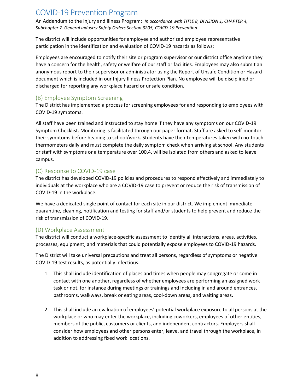An Addendum to the Injury and Illness Program: *In accordance with TITLE 8, DIVISION 1, CHAPTER 4, Subchapter 7. General Industry Safety Orders Section 3205, COVID-19 Prevention*

The district will include opportunities for employee and authorized employee representative participation in the identification and evaluation of COVID-19 hazards as follows;

Employees are encouraged to notify their site or program supervisor or our district office anytime they have a concern for the health, safety or welfare of our staff or facilities. Employees may also submit an anonymous report to their supervisor or administrator using the Report of Unsafe Condition or Hazard document which is included in our Injury Illness Protection Plan. No employee will be disciplined or discharged for reporting any workplace hazard or unsafe condition.

#### <span id="page-7-0"></span>(B) Employee Symptom Screening

The District has implemented a process for screening employees for and responding to employees with COVID-19 symptoms.

All staff have been trained and instructed to stay home if they have any symptoms on our COVID-19 Symptom Checklist. Monitoring is facilitated through our paper format. Staff are asked to self-monitor their symptoms before heading to school/work. Students have their temperatures taken with no-touch thermometers daily and must complete the daily symptom check when arriving at school. Any students or staff with symptoms or a temperature over 100.4, will be isolated from others and asked to leave campus.

## <span id="page-7-1"></span>(C) Response to COVID-19 case

The district has developed COVID-19 policies and procedures to respond effectively and immediately to individuals at the workplace who are a COVID-19 case to prevent or reduce the risk of transmission of COVID-19 in the workplace.

We have a dedicated single point of contact for each site in our district. We implement immediate quarantine, cleaning, notification and testing for staff and/or students to help prevent and reduce the risk of transmission of COVID-19.

## <span id="page-7-2"></span>(D) Workplace Assessment

The district will conduct a workplace-specific assessment to identify all interactions, areas, activities, processes, equipment, and materials that could potentially expose employees to COVID-19 hazards.

The District will take universal precautions and treat all persons, regardless of symptoms or negative COVID-19 test results, as potentially infectious.

- 1. This shall include identification of places and times when people may congregate or come in contact with one another, regardless of whether employees are performing an assigned work task or not, for instance during meetings or trainings and including in and around entrances, bathrooms, walkways, break or eating areas, cool-down areas, and waiting areas.
- 2. This shall include an evaluation of employees' potential workplace exposure to all persons at the workplace or who may enter the workplace, including coworkers, employees of other entities, members of the public, customers or clients, and independent contractors. Employers shall consider how employees and other persons enter, leave, and travel through the workplace, in addition to addressing fixed work locations.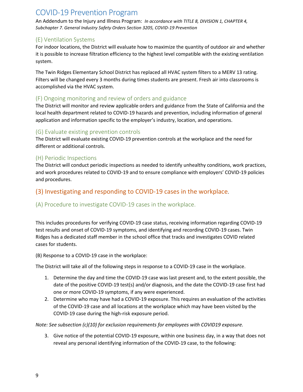An Addendum to the Injury and Illness Program: *In accordance with TITLE 8, DIVISION 1, CHAPTER 4, Subchapter 7. General Industry Safety Orders Section 3205, COVID-19 Prevention*

#### <span id="page-8-0"></span>(E) Ventilation Systems

For indoor locations, the District will evaluate how to maximize the quantity of outdoor air and whether it is possible to increase filtration efficiency to the highest level compatible with the existing ventilation system.

The Twin Ridges Elementary School District has replaced all HVAC system filters to a MERV 13 rating. Filters will be changed every 3 months during times students are present. Fresh air into classrooms is accomplished via the HVAC system.

#### <span id="page-8-1"></span>(F) Ongoing monitoring and review of orders and guidance

The District will monitor and review applicable orders and guidance from the State of California and the local health department related to COVID-19 hazards and prevention, including information of general application and information specific to the employer's industry, location, and operations.

## <span id="page-8-2"></span>(G) Evaluate existing prevention controls

The District will evaluate existing COVID-19 prevention controls at the workplace and the need for different or additional controls.

#### <span id="page-8-3"></span>(H) Periodic Inspections

The District will conduct periodic inspections as needed to identify unhealthy conditions, work practices, and work procedures related to COVID-19 and to ensure compliance with employers' COVID-19 policies and procedures.

## <span id="page-8-4"></span>(3) Investigating and responding to COVID-19 cases in the workplace.

## <span id="page-8-5"></span>(A) Procedure to investigate COVID-19 cases in the workplace.

This includes procedures for verifying COVID-19 case status, receiving information regarding COVID-19 test results and onset of COVID-19 symptoms, and identifying and recording COVID-19 cases. Twin Ridges has a dedicated staff member in the school office that tracks and investigates COVID related cases for students.

(B) Response to a COVID-19 case in the workplace:

The District will take all of the following steps in response to a COVID-19 case in the workplace.

- 1. Determine the day and time the COVID-19 case was last present and, to the extent possible, the date of the positive COVID-19 test(s) and/or diagnosis, and the date the COVID-19 case first had one or more COVID-19 symptoms, if any were experienced.
- 2. Determine who may have had a COVID-19 exposure. This requires an evaluation of the activities of the COVID-19 case and all locations at the workplace which may have been visited by the COVID-19 case during the high-risk exposure period.

*Note: See subsection (c)(10) for exclusion requirements for employees with COVID19 exposure.*

3. Give notice of the potential COVID-19 exposure, within one business day, in a way that does not reveal any personal identifying information of the COVID-19 case, to the following: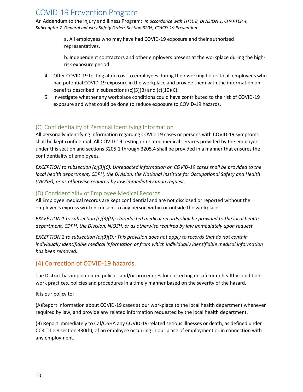An Addendum to the Injury and Illness Program: *In accordance with TITLE 8, DIVISION 1, CHAPTER 4, Subchapter 7. General Industry Safety Orders Section 3205, COVID-19 Prevention*

> a. All employees who may have had COVID-19 exposure and their authorized representatives.

b. Independent contractors and other employers present at the workplace during the highrisk exposure period.

- 4. Offer COVID-19 testing at no cost to employees during their working hours to all employees who had potential COVID-19 exposure in the workplace and provide them with the information on benefits described in subsections (c)(5)(B) and (c)(10)(C).
- 5. Investigate whether any workplace conditions could have contributed to the risk of COVID-19 exposure and what could be done to reduce exposure to COVID-19 hazards.

## <span id="page-9-0"></span>(C) Confidentiality of Personal Identifying Information

All personally identifying information regarding COVID-19 cases or persons with COVID-19 symptoms shall be kept confidential. All COVID-19 testing or related medical services provided by the employer under this section and sections 3205.1 through 3205.4 shall be provided in a manner that ensures the confidentiality of employees.

*EXCEPTION to subsection (c)(3)(C): Unredacted information on COVID-19 cases shall be provided to the local health department, CDPH, the Division, the National Institute for Occupational Safety and Health (NIOSH), or as otherwise required by law immediately upon request.*

#### <span id="page-9-1"></span>(D) Confidentiality of Employee Medical Records

All Employee medical records are kept confidential and are not disclosed or reported without the employee's express written consent to any person within or outside the workplace.

*EXCEPTION 1 to subsection (c)(3)(D): Unredacted medical records shall be provided to the local health department, CDPH, the Division, NIOSH, or as otherwise required by law immediately upon request.*

*EXCEPTION 2 to subsection (c)(3)(D): This provision does not apply to records that do not contain individually identifiable medical information or from which individually identifiable medical information has been removed.*

## <span id="page-9-2"></span>(4) Correction of COVID-19 hazards.

The District has implemented policies and/or procedures for correcting unsafe or unhealthy conditions, work practices, policies and procedures in a timely manner based on the severity of the hazard.

It is our policy to:

(A)Report information about COVID-19 cases at our workplace to the local health department whenever required by law, and provide any related information requested by the local health department.

(B) Report immediately to Cal/OSHA any COVID-19-related serious illnesses or death, as defined under CCR Title 8 section 330(h), of an employee occurring in our place of employment or in connection with any employment.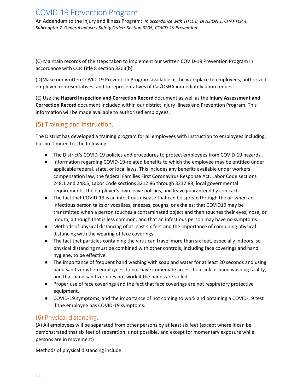An Addendum to the Injury and Illness Program: *In accordance with TITLE 8, DIVISION 1, CHAPTER 4, Subchapter 7. General Industry Safety Orders Section 3205, COVID-19 Prevention*

(C) Maintain records of the steps taken to implement our written COVID-19 Prevention Program in accordance with CCR Title 8 section 3203(b).

(D)Make our written COVID-19 Prevention Program available at the workplace to employees, authorized employee representatives, and to representatives of Cal/OSHA immediately upon request.

(E) Use the **Hazard Inspection and Correction Record** document as well as the **Injury Assessment and Correction Record** document included within our district Injury Illness and Prevention Program. This information will be made available to authorized employees.

## <span id="page-10-0"></span>(5) Training and instruction.

The District has developed a training program for all employees with instruction to employees including, but not limited to, the following:

- The District's COVID-19 policies and procedures to protect employees from COVID-19 hazards.
- Information regarding COVID-19-related benefits to which the employee may be entitled under applicable federal, state, or local laws. This includes any benefits available under workers' compensation law, the federal Families First Coronavirus Response Act, Labor Code sections 248.1 and 248.5, Labor Code sections 3212.86 through 3212.88, local governmental requirements, the employer's own leave policies, and leave guaranteed by contract.
- The fact that COVID-19 is an infectious disease that can be spread through the air when an infectious person talks or vocalizes, sneezes, coughs, or exhales; that COVID19 may be transmitted when a person touches a contaminated object and then touches their eyes, nose, or mouth, although that is less common; and that an infectious person may have no symptoms.
- Methods of physical distancing of at least six feet and the importance of combining physical distancing with the wearing of face coverings.
- The fact that particles containing the virus can travel more than six feet, especially indoors, so physical distancing must be combined with other controls, including face coverings and hand hygiene, to be effective.
- The importance of frequent hand washing with soap and water for at least 20 seconds and using hand sanitizer when employees do not have immediate access to a sink or hand washing facility, and that hand sanitizer does not work if the hands are soiled.
- Proper use of face coverings and the fact that face coverings are not respiratory protective equipment.
- COVID-19 symptoms, and the importance of not coming to work and obtaining a COVID-19 test if the employee has COVID-19 symptoms.

## <span id="page-10-1"></span>(6) Physical distancing.

(A) All employees will be separated from other persons by at least six feet (except where it can be demonstrated that six feet of separation is not possible, and except for momentary exposure while persons are in movement)

Methods of physical distancing include: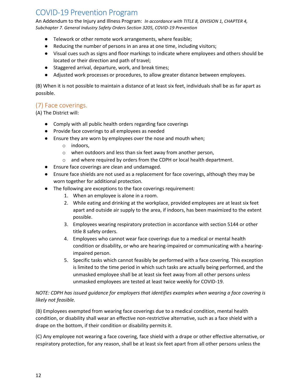An Addendum to the Injury and Illness Program: *In accordance with TITLE 8, DIVISION 1, CHAPTER 4, Subchapter 7. General Industry Safety Orders Section 3205, COVID-19 Prevention*

- Telework or other remote work arrangements, where feasible;
- Reducing the number of persons in an area at one time, including visitors;
- Visual cues such as signs and floor markings to indicate where employees and others should be located or their direction and path of travel;
- Staggered arrival, departure, work, and break times;
- Adjusted work processes or procedures, to allow greater distance between employees.

(B) When it is not possible to maintain a distance of at least six feet, individuals shall be as far apart as possible.

## <span id="page-11-0"></span>(7) Face coverings.

(A) The District will:

- Comply with all public health orders regarding face coverings
- Provide face coverings to all employees as needed
- Ensure they are worn by employees over the nose and mouth when;
	- o indoors,
	- o when outdoors and less than six feet away from another person,
	- o and where required by orders from the CDPH or local health department.
- Ensure face coverings are clean and undamaged.
- Ensure face shields are not used as a replacement for face coverings, although they may be worn together for additional protection.
- The following are exceptions to the face coverings requirement:
	- 1. When an employee is alone in a room.
	- 2. While eating and drinking at the workplace, provided employees are at least six feet apart and outside air supply to the area, if indoors, has been maximized to the extent possible.
	- 3. Employees wearing respiratory protection in accordance with section 5144 or other title 8 safety orders.
	- 4. Employees who cannot wear face coverings due to a medical or mental health condition or disability, or who are hearing-impaired or communicating with a hearingimpaired person.
	- 5. Specific tasks which cannot feasibly be performed with a face covering. This exception is limited to the time period in which such tasks are actually being performed, and the unmasked employee shall be at least six feet away from all other persons unless unmasked employees are tested at least twice weekly for COVID-19.

#### *NOTE: CDPH has issued guidance for employers that identifies examples when wearing a face covering is likely not feasible.*

(B) Employees exempted from wearing face coverings due to a medical condition, mental health condition, or disability shall wear an effective non-restrictive alternative, such as a face shield with a drape on the bottom, if their condition or disability permits it.

(C) Any employee not wearing a face covering, face shield with a drape or other effective alternative, or respiratory protection, for any reason, shall be at least six feet apart from all other persons unless the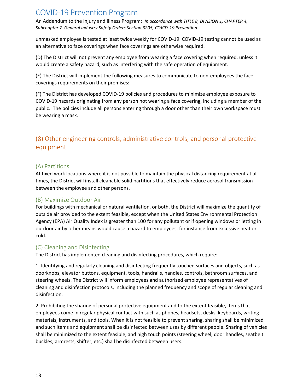An Addendum to the Injury and Illness Program: *In accordance with TITLE 8, DIVISION 1, CHAPTER 4, Subchapter 7. General Industry Safety Orders Section 3205, COVID-19 Prevention*

unmasked employee is tested at least twice weekly for COVID-19. COVID-19 testing cannot be used as an alternative to face coverings when face coverings are otherwise required.

(D) The District will not prevent any employee from wearing a face covering when required, unless it would create a safety hazard, such as interfering with the safe operation of equipment.

(E) The District will implement the following measures to communicate to non-employees the face coverings requirements on their premises:

(F) The District has developed COVID-19 policies and procedures to minimize employee exposure to COVID-19 hazards originating from any person not wearing a face covering, including a member of the public. The policies include all persons entering through a door other than their own workspace must be wearing a mask.

## <span id="page-12-0"></span>(8) Other engineering controls, administrative controls, and personal protective equipment.

#### <span id="page-12-1"></span>(A) Partitions

At fixed work locations where it is not possible to maintain the physical distancing requirement at all times, the District will install cleanable solid partitions that effectively reduce aerosol transmission between the employee and other persons.

#### <span id="page-12-2"></span>(B) Maximize Outdoor Air

For buildings with mechanical or natural ventilation, or both, the District will maximize the quantity of outside air provided to the extent feasible, except when the United States Environmental Protection Agency (EPA) Air Quality Index is greater than 100 for any pollutant or if opening windows or letting in outdoor air by other means would cause a hazard to employees, for instance from excessive heat or cold.

#### <span id="page-12-3"></span>(C) Cleaning and Disinfecting

The District has implemented cleaning and disinfecting procedures, which require:

1. Identifying and regularly cleaning and disinfecting frequently touched surfaces and objects, such as doorknobs, elevator buttons, equipment, tools, handrails, handles, controls, bathroom surfaces, and steering wheels. The District will inform employees and authorized employee representatives of cleaning and disinfection protocols, including the planned frequency and scope of regular cleaning and disinfection.

2. Prohibiting the sharing of personal protective equipment and to the extent feasible, items that employees come in regular physical contact with such as phones, headsets, desks, keyboards, writing materials, instruments, and tools. When it is not feasible to prevent sharing, sharing shall be minimized and such items and equipment shall be disinfected between uses by different people. Sharing of vehicles shall be minimized to the extent feasible, and high touch points (steering wheel, door handles, seatbelt buckles, armrests, shifter, etc.) shall be disinfected between users.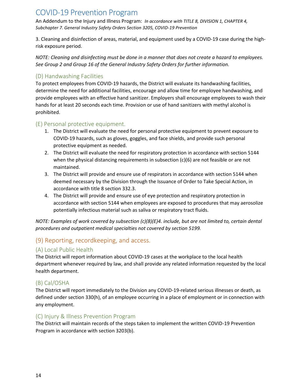An Addendum to the Injury and Illness Program: *In accordance with TITLE 8, DIVISION 1, CHAPTER 4, Subchapter 7. General Industry Safety Orders Section 3205, COVID-19 Prevention*

3. Cleaning and disinfection of areas, material, and equipment used by a COVID-19 case during the highrisk exposure period.

*NOTE: Cleaning and disinfecting must be done in a manner that does not create a hazard to employees. See Group 2 and Group 16 of the General Industry Safety Orders for further information.*

## <span id="page-13-0"></span>(D) Handwashing Facilities

To protect employees from COVID-19 hazards, the District will evaluate its handwashing facilities, determine the need for additional facilities, encourage and allow time for employee handwashing, and provide employees with an effective hand sanitizer. Employers shall encourage employees to wash their hands for at least 20 seconds each time. Provision or use of hand sanitizers with methyl alcohol is prohibited.

#### <span id="page-13-1"></span>(E) Personal protective equipment.

- 1. The District will evaluate the need for personal protective equipment to prevent exposure to COVID-19 hazards, such as gloves, goggles, and face shields, and provide such personal protective equipment as needed.
- 2. The District will evaluate the need for respiratory protection in accordance with section 5144 when the physical distancing requirements in subsection (c)(6) are not feasible or are not maintained.
- 3. The District will provide and ensure use of respirators in accordance with section 5144 when deemed necessary by the Division through the Issuance of Order to Take Special Action, in accordance with title 8 section 332.3.
- 4. The District will provide and ensure use of eye protection and respiratory protection in accordance with section 5144 when employees are exposed to procedures that may aerosolize potentially infectious material such as saliva or respiratory tract fluids.

*NOTE: Examples of work covered by subsection (c)(8)(E)4. include, but are not limited to, certain dental procedures and outpatient medical specialties not covered by section 5199.*

## <span id="page-13-2"></span>(9) Reporting, recordkeeping, and access.

## <span id="page-13-3"></span>(A) Local Public Health

The District will report information about COVID-19 cases at the workplace to the local health department whenever required by law, and shall provide any related information requested by the local health department.

#### <span id="page-13-4"></span>(B) Cal/OSHA

The District will report immediately to the Division any COVID-19-related serious illnesses or death, as defined under section 330(h), of an employee occurring in a place of employment or in connection with any employment.

#### <span id="page-13-5"></span>(C) Injury & Illness Prevention Program

The District will maintain records of the steps taken to implement the written COVID-19 Prevention Program in accordance with section 3203(b).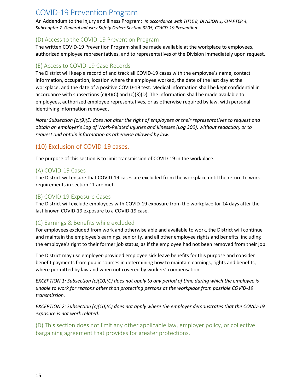An Addendum to the Injury and Illness Program: *In accordance with TITLE 8, DIVISION 1, CHAPTER 4, Subchapter 7. General Industry Safety Orders Section 3205, COVID-19 Prevention*

#### <span id="page-14-0"></span>(D) Access to the COVID-19 Prevention Program

The written COVID-19 Prevention Program shall be made available at the workplace to employees, authorized employee representatives, and to representatives of the Division immediately upon request.

#### <span id="page-14-1"></span>(E) Access to COVID-19 Case Records

The District will keep a record of and track all COVID-19 cases with the employee's name, contact information, occupation, location where the employee worked, the date of the last day at the workplace, and the date of a positive COVID-19 test. Medical information shall be kept confidential in accordance with subsections  $(c)(3)(C)$  and  $(c)(3)(D)$ . The information shall be made available to employees, authorized employee representatives, or as otherwise required by law, with personal identifying information removed.

*Note: Subsection (c)(9)(E) does not alter the right of employees or their representatives to request and obtain an employer's Log of Work-Related Injuries and Illnesses (Log 300), without redaction, or to request and obtain information as otherwise allowed by law.*

## <span id="page-14-2"></span>(10) Exclusion of COVID-19 cases.

The purpose of this section is to limit transmission of COVID-19 in the workplace.

## <span id="page-14-3"></span>(A) COVID-19 Cases

The District will ensure that COVID-19 cases are excluded from the workplace until the return to work requirements in section 11 are met.

#### <span id="page-14-4"></span>(B) COVID-19 Exposure Cases

The District will exclude employees with COVID-19 exposure from the workplace for 14 days after the last known COVID-19 exposure to a COVID-19 case.

## <span id="page-14-5"></span>(C) Earnings & Benefits while excluded

For employees excluded from work and otherwise able and available to work, the District will continue and maintain the employee's earnings, seniority, and all other employee rights and benefits, including the employee's right to their former job status, as if the employee had not been removed from their job.

The District may use employer-provided employee sick leave benefits for this purpose and consider benefit payments from public sources in determining how to maintain earnings, rights and benefits, where permitted by law and when not covered by workers' compensation.

*EXCEPTION 1: Subsection (c)(10)(C) does not apply to any period of time during which the employee is unable to work for reasons other than protecting persons at the workplace from possible COVID-19 transmission.*

*EXCEPTION 2: Subsection (c)(10)(C) does not apply where the employer demonstrates that the COVID-19 exposure is not work related.*

<span id="page-14-6"></span>(D) This section does not limit any other applicable law, employer policy, or collective bargaining agreement that provides for greater protections.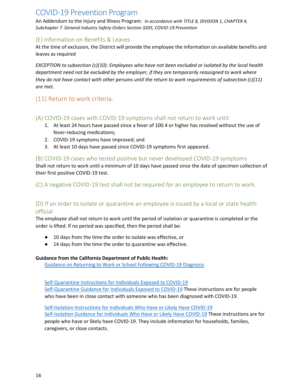An Addendum to the Injury and Illness Program: *In accordance with TITLE 8, DIVISION 1, CHAPTER 4, Subchapter 7. General Industry Safety Orders Section 3205, COVID-19 Prevention*

#### <span id="page-15-0"></span>(E) Information on Benefits & Leaves

At the time of exclusion, the District will provide the employee the information on available benefits and leaves as required

*EXCEPTION to subsection (c)(10): Employees who have not been excluded or isolated by the local health department need not be excluded by the employer, if they are temporarily reassigned to work where they do not have contact with other persons until the return to work requirements of subsection (c)(11) are met.*

## <span id="page-15-1"></span>(11) Return to work criteria.

## <span id="page-15-2"></span>(A) COVID-19 cases with COVID-19 symptoms shall not return to work until:

- 1. At least 24 hours have passed since a fever of 100.4 or higher has resolved without the use of fever-reducing medications;
- 2. COVID-19 symptoms have improved; and
- 3. At least 10 days have passed since COVID-19 symptoms first appeared.

#### <span id="page-15-3"></span>(B) COVID-19 cases who tested positive but never developed COVID-19 symptoms

Shall not return to work until a minimum of 10 days have passed since the date of specimen collection of their first positive COVID-19 test.

<span id="page-15-4"></span>(C) A negative COVID-19 test shall not be required for an employee to return to work.

## <span id="page-15-5"></span>(D) If an order to isolate or quarantine an employee is issued by a local or state health official

The employee shall not return to work until the period of isolation or quarantine is completed or the order is lifted. If no period was specified, then the period shall be:

- 10 days from the time the order to isolate was effective, or
- 14 days from the time the order to quarantine was effective.

#### **Guidance from the California Department of Public Health:**

[Guidance on Returning to Work or School Following COVID-19 Diagnosis](about:blank)

[Self-Quarantine Instructions for Individuals Exposed to COVID-19](https://www.cdph.ca.gov/Programs/CID/DCDC/CDPH%20Document%20Library/COVID-19/self-quarantine-instructions.pdf)

[Self-Quarantine Guidance for Individuals Exposed to COVID-19](https://www.cdph.ca.gov/Programs/CID/DCDC/CDPH%20Document%20Library/COVID-19/CDPH-Home-Quarantine-Guidance_9-16-2020.pdf) These instructions are for people who have been in close contact with someone who has been diagnosed with COVID-19.

[Self-Isolation Instructions for Individuals Who Have or Likely Have COVID-19](https://www.cdph.ca.gov/Programs/CID/DCDC/CDPH%20Document%20Library/COVID-19/self-isolation-instructions.pdf) Self-Isolation [Guidance for Individuals Who Have or Likely Have COVID-19](https://www.cdph.ca.gov/Programs/CID/DCDC/CDPH%20Document%20Library/COVID-19/CDPH-Home-Isolation-Guidance_9-16-2020.pdf) These instructions are for people who have or likely have COVID-19. They include information for households, families, caregivers, or close contacts.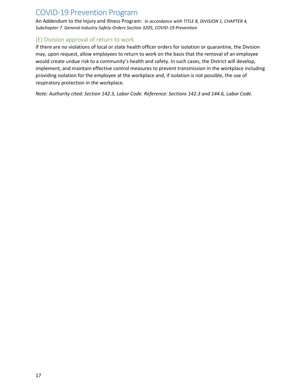An Addendum to the Injury and Illness Program: *In accordance with TITLE 8, DIVISION 1, CHAPTER 4, Subchapter 7. General Industry Safety Orders Section 3205, COVID-19 Prevention*

## <span id="page-16-0"></span>(E) Division approval of return to work

If there are no violations of local or state health officer orders for isolation or quarantine, the Division may, upon request, allow employees to return to work on the basis that the removal of an employee would create undue risk to a community's health and safety. In such cases, the District will develop, implement, and maintain effective control measures to prevent transmission in the workplace including providing isolation for the employee at the workplace and, if isolation is not possible, the use of respiratory protection in the workplace.

*Note: Authority cited: Section 142.3, Labor Code. Reference: Sections 142.3 and 144.6, Labor Code.*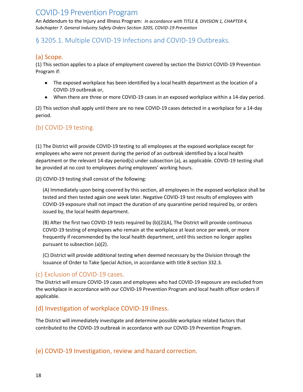An Addendum to the Injury and Illness Program: *In accordance with TITLE 8, DIVISION 1, CHAPTER 4, Subchapter 7. General Industry Safety Orders Section 3205, COVID-19 Prevention*

## <span id="page-17-1"></span><span id="page-17-0"></span>§ 3205.1. Multiple COVID-19 Infections and COVID-19 Outbreaks.

## (a) Scope.

(1) This section applies to a place of employment covered by section the District COVID-19 Prevention Program if:

- The exposed workplace has been identified by a local health department as the location of a COVID-19 outbreak or,
- When there are three or more COVID-19 cases in an exposed workplace within a 14-day period.

(2) This section shall apply until there are no new COVID-19 cases detected in a workplace for a 14-day period.

## <span id="page-17-2"></span>(b) COVID-19 testing.

(1) The District will provide COVID-19 testing to all employees at the exposed workplace except for employees who were not present during the period of an outbreak identified by a local health department or the relevant 14-day period(s) under subsection (a), as applicable. COVID-19 testing shall be provided at no cost to employees during employees' working hours.

(2) COVID-19 testing shall consist of the following:

(A) Immediately upon being covered by this section, all employees in the exposed workplace shall be tested and then tested again one week later. Negative COVID-19 test results of employees with COVID-19 exposure shall not impact the duration of any quarantine period required by, or orders issued by, the local health department.

(B) After the first two COVID-19 tests required by (b)(2)(A), The District will provide continuous COVID-19 testing of employees who remain at the workplace at least once per week, or more frequently if recommended by the local health department, until this section no longer applies pursuant to subsection (a)(2).

(C) District will provide additional testing when deemed necessary by the Division through the Issuance of Order to Take Special Action, in accordance with title 8 section 332.3.

## <span id="page-17-3"></span>(c) Exclusion of COVID-19 cases.

The District will ensure COVID-19 cases and employees who had COVID-19 exposure are excluded from the workplace in accordance with our COVID-19 Prevention Program and local health officer orders if applicable.

## <span id="page-17-4"></span>(d) Investigation of workplace COVID-19 illness.

The District will immediately investigate and determine possible workplace related factors that contributed to the COVID-19 outbreak in accordance with our COVID-19 Prevention Program.

<span id="page-17-5"></span>(e) COVID-19 Investigation, review and hazard correction.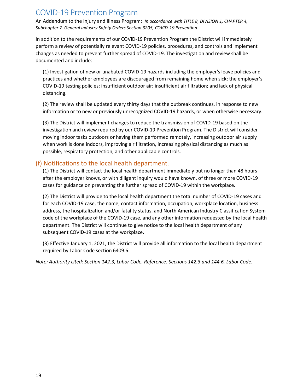An Addendum to the Injury and Illness Program: *In accordance with TITLE 8, DIVISION 1, CHAPTER 4, Subchapter 7. General Industry Safety Orders Section 3205, COVID-19 Prevention*

In addition to the requirements of our COVID-19 Prevention Program the District will immediately perform a review of potentially relevant COVID-19 policies, procedures, and controls and implement changes as needed to prevent further spread of COVID-19. The investigation and review shall be documented and include:

(1) Investigation of new or unabated COVID-19 hazards including the employer's leave policies and practices and whether employees are discouraged from remaining home when sick; the employer's COVID-19 testing policies; insufficient outdoor air; insufficient air filtration; and lack of physical distancing.

(2) The review shall be updated every thirty days that the outbreak continues, in response to new information or to new or previously unrecognized COVID-19 hazards, or when otherwise necessary.

(3) The District will implement changes to reduce the transmission of COVID-19 based on the investigation and review required by our COVID-19 Prevention Program. The District will consider moving indoor tasks outdoors or having them performed remotely, increasing outdoor air supply when work is done indoors, improving air filtration, increasing physical distancing as much as possible, respiratory protection, and other applicable controls.

## <span id="page-18-0"></span>(f) Notifications to the local health department.

(1) The District will contact the local health department immediately but no longer than 48 hours after the employer knows, or with diligent inquiry would have known, of three or more COVID-19 cases for guidance on preventing the further spread of COVID-19 within the workplace.

(2) The District will provide to the local health department the total number of COVID-19 cases and for each COVID-19 case, the name, contact information, occupation, workplace location, business address, the hospitalization and/or fatality status, and North American Industry Classification System code of the workplace of the COVID-19 case, and any other information requested by the local health department. The District will continue to give notice to the local health department of any subsequent COVID-19 cases at the workplace.

(3) Effective January 1, 2021, the District will provide all information to the local health department required by Labor Code section 6409.6.

*Note: Authority cited: Section 142.3, Labor Code. Reference: Sections 142.3 and 144.6, Labor Code.*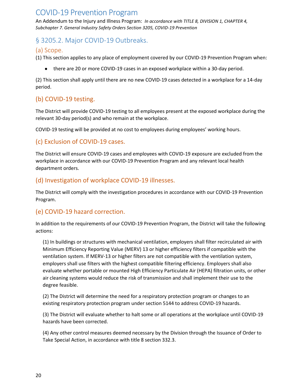An Addendum to the Injury and Illness Program: *In accordance with TITLE 8, DIVISION 1, CHAPTER 4, Subchapter 7. General Industry Safety Orders Section 3205, COVID-19 Prevention*

## <span id="page-19-0"></span>§ 3205.2. Major COVID-19 Outbreaks.

#### <span id="page-19-1"></span>(a) Scope.

(1) This section applies to any place of employment covered by our COVID-19 Prevention Program when:

● there are 20 or more COVID-19 cases in an exposed workplace within a 30-day period.

(2) This section shall apply until there are no new COVID-19 cases detected in a workplace for a 14-day period.

## <span id="page-19-2"></span>(b) COVID-19 testing.

The District will provide COVID-19 testing to all employees present at the exposed workplace during the relevant 30-day period(s) and who remain at the workplace.

COVID-19 testing will be provided at no cost to employees during employees' working hours.

## <span id="page-19-3"></span>(c) Exclusion of COVID-19 cases.

The District will ensure COVID-19 cases and employees with COVID-19 exposure are excluded from the workplace in accordance with our COVID-19 Prevention Program and any relevant local health department orders.

## <span id="page-19-4"></span>(d) Investigation of workplace COVID-19 illnesses.

The District will comply with the investigation procedures in accordance with our COVID-19 Prevention Program.

## <span id="page-19-5"></span>(e) COVID-19 hazard correction.

In addition to the requirements of our COVID-19 Prevention Program, the District will take the following actions:

(1) In buildings or structures with mechanical ventilation, employers shall filter recirculated air with Minimum Efficiency Reporting Value (MERV) 13 or higher efficiency filters if compatible with the ventilation system. If MERV-13 or higher filters are not compatible with the ventilation system, employers shall use filters with the highest compatible filtering efficiency. Employers shall also evaluate whether portable or mounted High Efficiency Particulate Air (HEPA) filtration units, or other air cleaning systems would reduce the risk of transmission and shall implement their use to the degree feasible.

(2) The District will determine the need for a respiratory protection program or changes to an existing respiratory protection program under section 5144 to address COVID-19 hazards.

(3) The District will evaluate whether to halt some or all operations at the workplace until COVID-19 hazards have been corrected.

(4) Any other control measures deemed necessary by the Division through the Issuance of Order to Take Special Action, in accordance with title 8 section 332.3.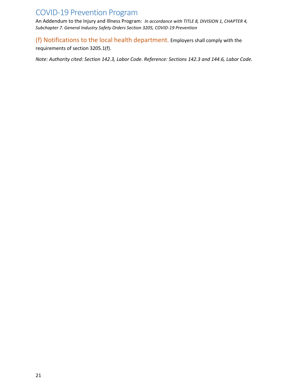An Addendum to the Injury and Illness Program: *In accordance with TITLE 8, DIVISION 1, CHAPTER 4, Subchapter 7. General Industry Safety Orders Section 3205, COVID-19 Prevention*

<span id="page-20-0"></span>(f) Notifications to the local health department. Employers shall comply with the

requirements of section 3205.1(f).

*Note: Authority cited: Section 142.3, Labor Code. Reference: Sections 142.3 and 144.6, Labor Code.*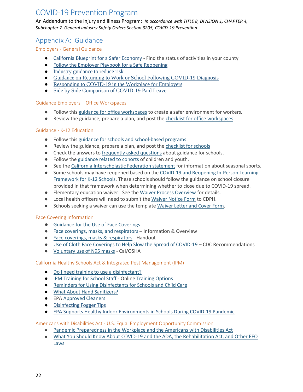An Addendum to the Injury and Illness Program: *In accordance with TITLE 8, DIVISION 1, CHAPTER 4, Subchapter 7. General Industry Safety Orders Section 3205, COVID-19 Prevention*

## <span id="page-21-0"></span>Appendix A: Guidance

#### <span id="page-21-1"></span>Employers - General Guidance

- [California](https://covid19.ca.gov/safer-economy/) [Blueprint for a Safer Economy](https://covid19.ca.gov/safer-economy/) Find the status of activities in your county
- [Follow the Employer Playbook for a Safe Reopening](https://files.covid19.ca.gov/pdf/employer-playbook-for-safe-reopening--en.pdf)
- [Industry guidance to reduce risk](https://covid19.ca.gov/industry-guidance/#top)
- [Guidance on Returning to Work or School Following COVID-19 Diagnosis](https://www.cdph.ca.gov/Programs/CID/DCDC/Pages/COVID-19/Guidance-on-Returning-to-Work-or-School-Following-COVID-19-Diagnosis.aspx)
- [Responding to COVID-19 in the Workplace for Employers](https://files.covid19.ca.gov/pdf/responding-to-covid19-workplace--en.pdf)
- [Side by Side Comparison of COVID-19 Paid Leave](https://www.dir.ca.gov/dlse/Comparison-COVID-19-Paid-Leave.html)

#### <span id="page-21-2"></span>Guidance Employers – Office Workspaces

- Follow this [guidance for office workspaces](https://files.covid19.ca.gov/pdf/guidance-office-workspaces--en.pdf) to create a safer environment for workers.
- Review the guidance, prepare a plan, and post the [checklist for office workspaces](https://files.covid19.ca.gov/pdf/checklist-office-workspaces--en.pdf)

#### <span id="page-21-3"></span>Guidance - K-12 Education

- Follow this [guidance for schools and school-based programs](https://files.covid19.ca.gov/pdf/guidance-schools--en.pdf)
- Review the guidance, prepare a plan, and post the [checklist for schools](https://files.covid19.ca.gov/pdf/checklist-schools--en.pdf)
- Check the answers to [frequently asked questions](https://www.cdph.ca.gov/Programs/CID/DCDC/Pages/COVID-19/Schools-FAQ.aspx) about guidance for schools.
- Follow the [guidance related to cohorts](https://covid19.ca.gov/industry-guidance/#cohort-guidance) of children and youth.
- See the [California Interscholastic Federation statement](https://cifstate.org/mediacenter/releases/2019-20/PR-34_7.20.20_CIF_Statement_2020-21_Sports_Calendar_Final.pdf) for information about seasonal sports.
- Some schools may have reopened based on the COVID-19 and Reopening In-Person Learning [Framework for K-12 Schools.](https://www.cdph.ca.gov/Programs/CID/DCDC/CDPH%20Document%20Library/COVID-19/Schools%20Reopening%20Recommendations.pdf) These schools should follow the guidance on school closure provided in that framework when determining whether to close due to COVID-19 spread.
- Elementary education waiver: See the [Waiver Process Overview](https://www.cdph.ca.gov/Programs/CID/DCDC/Pages/COVID-19/In-Person-Elementary-Waiver-Process.aspx) for details.
- Local health officers will need to submit the [Waiver Notice Form](https://www.cdph.ca.gov/Programs/CID/DCDC/CDPH%20Document%20Library/COVID-19/CDPH-Waiver-Notice_8.3.2020.pdf) to CDPH.
- Schools seeking a waiver can use the template [Waiver Letter and Cover Form.](https://www.cdph.ca.gov/Programs/CID/DCDC/CDPH%20Document%20Library/COVID-19/Waiver-Letter-Template-Cover-Form_8.3.2020.pdf)

#### <span id="page-21-4"></span>Face Covering Information

- [Guidance for the Use of Face Coverings](https://www.cdph.ca.gov/Programs/CID/DCDC/Pages/COVID-19/guidance-for-face-coverings.aspx)
- [Face coverings, masks, and respirators](https://covid19.ca.gov/masks-and-ppe/) Information & Overview
- [Face coverings, masks & respirators](https://www.dir.ca.gov/dosh/coronavirus/Face-coverings-poster.pdf) Handout
- [Use of Cloth Face Coverings to Help Slow the Spread of COVID-19](https://www.cdc.gov/coronavirus/2019-ncov/prevent-getting-sick/diy-cloth-face-coverings.html) CDC Recommendations
- [Voluntary use of N95 masks](https://www.dir.ca.gov/dosh/dosh_publications/N95-mask-questions.pdf) Cal/OSHA

#### <span id="page-21-5"></span>California Healthy Schools Act & Integrated Pest Management (IPM)

- [Do I need training to use a disinfectant?](https://apps.cdpr.ca.gov/schoolipm/school_ipm_law/disinfectant_training.pdf)
- [IPM Training for School Staff](https://apps.cdpr.ca.gov/schoolipm/training/what_hsa_course_should_i_take.pdf) Online [Training Options](https://apps.cdpr.ca.gov/schoolipm/#collapseTwo)
- [Reminders for Using Disinfectants for Schools and Child Care](https://apps.cdpr.ca.gov/schoolipm/pubs/reminders_for_using_disinfectants.pdf)
- [What About Hand Sanitizers?](https://apps.cdpr.ca.gov/schoolipm/school_ipm_law/hand_sanitizers.pdf)
- EPA [Approved Cleaners](https://www.americanchemistry.com/Novel-Coronavirus-Fighting-Products-List.pdf)
- [Disinfecting Fogger Tips](https://www.sia-jpa.org/sia/assets/File/COVID%20Fogger%20Tips.pdf)
- [EPA Supports Healthy Indoor Environments in Schools During COVID-19 Pandemic](https://www.epa.gov/iaq-schools/epa-supports-healthy-indoor-environments-schools-during-covid-19-pandemic)

<span id="page-21-6"></span>Americans with Disabilities Act - U.S. Equal Employment Opportunity Commission

- [Pandemic Preparedness in the Workplace and the Americans with Disabilities Act](https://www.eeoc.gov/laws/guidance/pandemic-preparedness-workplace-and-americans-disabilities-act)
- [What You Should Know About COVID-19 and the ADA, the Rehabilitation Act, and Other EEO](https://www.eeoc.gov/wysk/what-you-should-know-about-covid-19-and-ada-rehabilitation-act-and-other-eeo-laws?utm_content=&utm_medium=email&utm_name=&utm_source=govdelivery&utm_term)  [Laws](https://www.eeoc.gov/wysk/what-you-should-know-about-covid-19-and-ada-rehabilitation-act-and-other-eeo-laws?utm_content=&utm_medium=email&utm_name=&utm_source=govdelivery&utm_term)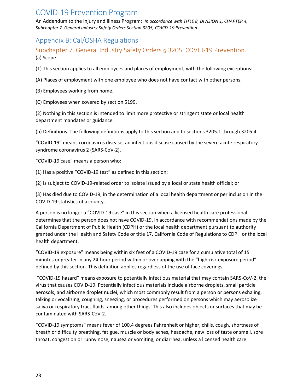An Addendum to the Injury and Illness Program: *In accordance with TITLE 8, DIVISION 1, CHAPTER 4, Subchapter 7. General Industry Safety Orders Section 3205, COVID-19 Prevention*

## <span id="page-22-0"></span>Appendix B: Cal/OSHA Regulations

<span id="page-22-1"></span>Subchapter 7. General Industry Safety Orders § 3205. COVID-19 Prevention. (a) Scope.

(1) This section applies to all employees and places of employment, with the following exceptions:

(A) Places of employment with one employee who does not have contact with other persons.

(B) Employees working from home.

(C) Employees when covered by section 5199.

(2) Nothing in this section is intended to limit more protective or stringent state or local health department mandates or guidance.

(b) Definitions. The following definitions apply to this section and to sections 3205.1 through 3205.4.

"COVID-19" means coronavirus disease, an infectious disease caused by the severe acute respiratory syndrome coronavirus 2 (SARS-CoV-2).

"COVID-19 case" means a person who:

(1) Has a positive "COVID-19 test" as defined in this section;

(2) Is subject to COVID-19-related order to isolate issued by a local or state health official; or

(3) Has died due to COVID-19, in the determination of a local health department or per inclusion in the COVID-19 statistics of a county.

A person is no longer a "COVID-19 case" in this section when a licensed health care professional determines that the person does not have COVID-19, in accordance with recommendations made by the California Department of Public Health (CDPH) or the local health department pursuant to authority granted under the Health and Safety Code or title 17, California Code of Regulations to CDPH or the local health department.

"COVID-19 exposure" means being within six feet of a COVID-19 case for a cumulative total of 15 minutes or greater in any 24-hour period within or overlapping with the "high-risk exposure period" defined by this section. This definition applies regardless of the use of face coverings.

"COVID-19 hazard" means exposure to potentially infectious material that may contain SARS-CoV-2, the virus that causes COVID-19. Potentially infectious materials include airborne droplets, small particle aerosols, and airborne droplet nuclei, which most commonly result from a person or persons exhaling, talking or vocalizing, coughing, sneezing, or procedures performed on persons which may aerosolize saliva or respiratory tract fluids, among other things. This also includes objects or surfaces that may be contaminated with SARS-CoV-2.

"COVID-19 symptoms" means fever of 100.4 degrees Fahrenheit or higher, chills, cough, shortness of breath or difficulty breathing, fatigue, muscle or body aches, headache, new loss of taste or smell, sore throat, congestion or runny nose, nausea or vomiting, or diarrhea, unless a licensed health care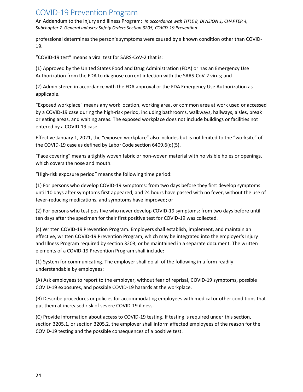An Addendum to the Injury and Illness Program: *In accordance with TITLE 8, DIVISION 1, CHAPTER 4, Subchapter 7. General Industry Safety Orders Section 3205, COVID-19 Prevention*

professional determines the person's symptoms were caused by a known condition other than COVID-19.

"COVID-19 test" means a viral test for SARS-CoV-2 that is:

(1) Approved by the United States Food and Drug Administration (FDA) or has an Emergency Use Authorization from the FDA to diagnose current infection with the SARS-CoV-2 virus; and

(2) Administered in accordance with the FDA approval or the FDA Emergency Use Authorization as applicable.

"Exposed workplace" means any work location, working area, or common area at work used or accessed by a COVID-19 case during the high-risk period, including bathrooms, walkways, hallways, aisles, break or eating areas, and waiting areas. The exposed workplace does not include buildings or facilities not entered by a COVID-19 case.

Effective January 1, 2021, the "exposed workplace" also includes but is not limited to the "worksite" of the COVID-19 case as defined by Labor Code section 6409.6(d)(5).

"Face covering" means a tightly woven fabric or non-woven material with no visible holes or openings, which covers the nose and mouth.

"High-risk exposure period" means the following time period:

(1) For persons who develop COVID-19 symptoms: from two days before they first develop symptoms until 10 days after symptoms first appeared, and 24 hours have passed with no fever, without the use of fever-reducing medications, and symptoms have improved; or

(2) For persons who test positive who never develop COVID-19 symptoms: from two days before until ten days after the specimen for their first positive test for COVID-19 was collected.

(c) Written COVID-19 Prevention Program. Employers shall establish, implement, and maintain an effective, written COVID-19 Prevention Program, which may be integrated into the employer's Injury and Illness Program required by section 3203, or be maintained in a separate document. The written elements of a COVID-19 Prevention Program shall include:

(1) System for communicating. The employer shall do all of the following in a form readily understandable by employees:

(A) Ask employees to report to the employer, without fear of reprisal, COVID-19 symptoms, possible COVID-19 exposures, and possible COVID-19 hazards at the workplace.

(B) Describe procedures or policies for accommodating employees with medical or other conditions that put them at increased risk of severe COVID-19 illness.

(C) Provide information about access to COVID-19 testing. If testing is required under this section, section 3205.1, or section 3205.2, the employer shall inform affected employees of the reason for the COVID-19 testing and the possible consequences of a positive test.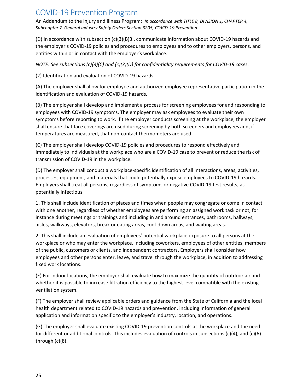An Addendum to the Injury and Illness Program: *In accordance with TITLE 8, DIVISION 1, CHAPTER 4, Subchapter 7. General Industry Safety Orders Section 3205, COVID-19 Prevention*

(D) In accordance with subsection (c)(3)(B)3., communicate information about COVID-19 hazards and the employer's COVID-19 policies and procedures to employees and to other employers, persons, and entities within or in contact with the employer's workplace.

*NOTE: See subsections (c)(3)(C) and (c)(3)(D) for confidentiality requirements for COVID-19 cases.*

(2) Identification and evaluation of COVID-19 hazards.

(A) The employer shall allow for employee and authorized employee representative participation in the identification and evaluation of COVID-19 hazards.

(B) The employer shall develop and implement a process for screening employees for and responding to employees with COVID-19 symptoms. The employer may ask employees to evaluate their own symptoms before reporting to work. If the employer conducts screening at the workplace, the employer shall ensure that face coverings are used during screening by both screeners and employees and, if temperatures are measured, that non-contact thermometers are used.

(C) The employer shall develop COVID-19 policies and procedures to respond effectively and immediately to individuals at the workplace who are a COVID-19 case to prevent or reduce the risk of transmission of COVID-19 in the workplace.

(D) The employer shall conduct a workplace-specific identification of all interactions, areas, activities, processes, equipment, and materials that could potentially expose employees to COVID-19 hazards. Employers shall treat all persons, regardless of symptoms or negative COVID-19 test results, as potentially infectious.

1. This shall include identification of places and times when people may congregate or come in contact with one another, regardless of whether employees are performing an assigned work task or not, for instance during meetings or trainings and including in and around entrances, bathrooms, hallways, aisles, walkways, elevators, break or eating areas, cool-down areas, and waiting areas.

2. This shall include an evaluation of employees' potential workplace exposure to all persons at the workplace or who may enter the workplace, including coworkers, employees of other entities, members of the public, customers or clients, and independent contractors. Employers shall consider how employees and other persons enter, leave, and travel through the workplace, in addition to addressing fixed work locations.

(E) For indoor locations, the employer shall evaluate how to maximize the quantity of outdoor air and whether it is possible to increase filtration efficiency to the highest level compatible with the existing ventilation system.

(F) The employer shall review applicable orders and guidance from the State of California and the local health department related to COVID-19 hazards and prevention, including information of general application and information specific to the employer's industry, location, and operations.

(G) The employer shall evaluate existing COVID-19 prevention controls at the workplace and the need for different or additional controls. This includes evaluation of controls in subsections (c)(4), and (c)(6) through (c)(8).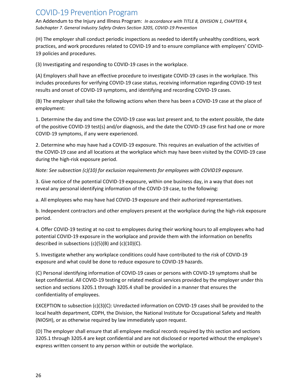An Addendum to the Injury and Illness Program: *In accordance with TITLE 8, DIVISION 1, CHAPTER 4, Subchapter 7. General Industry Safety Orders Section 3205, COVID-19 Prevention*

(H) The employer shall conduct periodic inspections as needed to identify unhealthy conditions, work practices, and work procedures related to COVID-19 and to ensure compliance with employers' COVID-19 policies and procedures.

(3) Investigating and responding to COVID-19 cases in the workplace.

(A) Employers shall have an effective procedure to investigate COVID-19 cases in the workplace. This includes procedures for verifying COVID-19 case status, receiving information regarding COVID-19 test results and onset of COVID-19 symptoms, and identifying and recording COVID-19 cases.

(B) The employer shall take the following actions when there has been a COVID-19 case at the place of employment:

1. Determine the day and time the COVID-19 case was last present and, to the extent possible, the date of the positive COVID-19 test(s) and/or diagnosis, and the date the COVID-19 case first had one or more COVID-19 symptoms, if any were experienced.

2. Determine who may have had a COVID-19 exposure. This requires an evaluation of the activities of the COVID-19 case and all locations at the workplace which may have been visited by the COVID-19 case during the high-risk exposure period.

*Note: See subsection (c)(10) for exclusion requirements for employees with COVID19 exposure.*

3. Give notice of the potential COVID-19 exposure, within one business day, in a way that does not reveal any personal identifying information of the COVID-19 case, to the following:

a. All employees who may have had COVID-19 exposure and their authorized representatives.

b. Independent contractors and other employers present at the workplace during the high-risk exposure period.

4. Offer COVID-19 testing at no cost to employees during their working hours to all employees who had potential COVID-19 exposure in the workplace and provide them with the information on benefits described in subsections  $(c)(5)(B)$  and  $(c)(10)(C)$ .

5. Investigate whether any workplace conditions could have contributed to the risk of COVID-19 exposure and what could be done to reduce exposure to COVID-19 hazards.

(C) Personal identifying information of COVID-19 cases or persons with COVID-19 symptoms shall be kept confidential. All COVID-19 testing or related medical services provided by the employer under this section and sections 3205.1 through 3205.4 shall be provided in a manner that ensures the confidentiality of employees.

EXCEPTION to subsection (c)(3)(C): Unredacted information on COVID-19 cases shall be provided to the local health department, CDPH, the Division, the National Institute for Occupational Safety and Health (NIOSH), or as otherwise required by law immediately upon request.

(D) The employer shall ensure that all employee medical records required by this section and sections 3205.1 through 3205.4 are kept confidential and are not disclosed or reported without the employee's express written consent to any person within or outside the workplace.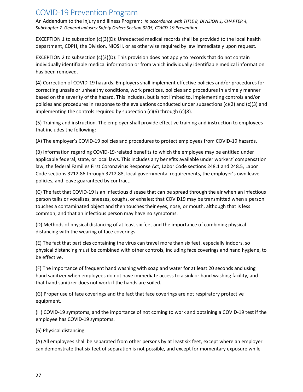An Addendum to the Injury and Illness Program: *In accordance with TITLE 8, DIVISION 1, CHAPTER 4, Subchapter 7. General Industry Safety Orders Section 3205, COVID-19 Prevention*

EXCEPTION 1 to subsection (c)(3)(D): Unredacted medical records shall be provided to the local health department, CDPH, the Division, NIOSH, or as otherwise required by law immediately upon request.

EXCEPTION 2 to subsection  $(c)(3)(D)$ : This provision does not apply to records that do not contain individually identifiable medical information or from which individually identifiable medical information has been removed.

(4) Correction of COVID-19 hazards. Employers shall implement effective policies and/or procedures for correcting unsafe or unhealthy conditions, work practices, policies and procedures in a timely manner based on the severity of the hazard. This includes, but is not limited to, implementing controls and/or policies and procedures in response to the evaluations conducted under subsections (c)(2) and (c)(3) and implementing the controls required by subsection (c)(6) through (c)(8).

(5) Training and instruction. The employer shall provide effective training and instruction to employees that includes the following:

(A) The employer's COVID-19 policies and procedures to protect employees from COVID-19 hazards.

(B) Information regarding COVID-19-related benefits to which the employee may be entitled under applicable federal, state, or local laws. This includes any benefits available under workers' compensation law, the federal Families First Coronavirus Response Act, Labor Code sections 248.1 and 248.5, Labor Code sections 3212.86 through 3212.88, local governmental requirements, the employer's own leave policies, and leave guaranteed by contract.

(C) The fact that COVID-19 is an infectious disease that can be spread through the air when an infectious person talks or vocalizes, sneezes, coughs, or exhales; that COVID19 may be transmitted when a person touches a contaminated object and then touches their eyes, nose, or mouth, although that is less common; and that an infectious person may have no symptoms.

(D) Methods of physical distancing of at least six feet and the importance of combining physical distancing with the wearing of face coverings.

(E) The fact that particles containing the virus can travel more than six feet, especially indoors, so physical distancing must be combined with other controls, including face coverings and hand hygiene, to be effective.

(F) The importance of frequent hand washing with soap and water for at least 20 seconds and using hand sanitizer when employees do not have immediate access to a sink or hand washing facility, and that hand sanitizer does not work if the hands are soiled.

(G) Proper use of face coverings and the fact that face coverings are not respiratory protective equipment.

(H) COVID-19 symptoms, and the importance of not coming to work and obtaining a COVID-19 test if the employee has COVID-19 symptoms.

(6) Physical distancing.

(A) All employees shall be separated from other persons by at least six feet, except where an employer can demonstrate that six feet of separation is not possible, and except for momentary exposure while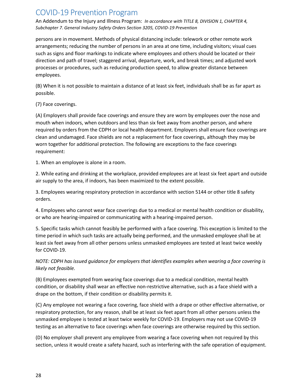An Addendum to the Injury and Illness Program: *In accordance with TITLE 8, DIVISION 1, CHAPTER 4, Subchapter 7. General Industry Safety Orders Section 3205, COVID-19 Prevention*

persons are in movement. Methods of physical distancing include: telework or other remote work arrangements; reducing the number of persons in an area at one time, including visitors; visual cues such as signs and floor markings to indicate where employees and others should be located or their direction and path of travel; staggered arrival, departure, work, and break times; and adjusted work processes or procedures, such as reducing production speed, to allow greater distance between employees.

(B) When it is not possible to maintain a distance of at least six feet, individuals shall be as far apart as possible.

#### (7) Face coverings.

(A) Employers shall provide face coverings and ensure they are worn by employees over the nose and mouth when indoors, when outdoors and less than six feet away from another person, and where required by orders from the CDPH or local health department. Employers shall ensure face coverings are clean and undamaged. Face shields are not a replacement for face coverings, although they may be worn together for additional protection. The following are exceptions to the face coverings requirement:

1. When an employee is alone in a room.

2. While eating and drinking at the workplace, provided employees are at least six feet apart and outside air supply to the area, if indoors, has been maximized to the extent possible.

3. Employees wearing respiratory protection in accordance with section 5144 or other title 8 safety orders.

4. Employees who cannot wear face coverings due to a medical or mental health condition or disability, or who are hearing-impaired or communicating with a hearing-impaired person.

5. Specific tasks which cannot feasibly be performed with a face covering. This exception is limited to the time period in which such tasks are actually being performed, and the unmasked employee shall be at least six feet away from all other persons unless unmasked employees are tested at least twice weekly for COVID-19.

#### *NOTE: CDPH has issued guidance for employers that identifies examples when wearing a face covering is likely not feasible.*

(B) Employees exempted from wearing face coverings due to a medical condition, mental health condition, or disability shall wear an effective non-restrictive alternative, such as a face shield with a drape on the bottom, if their condition or disability permits it.

(C) Any employee not wearing a face covering, face shield with a drape or other effective alternative, or respiratory protection, for any reason, shall be at least six feet apart from all other persons unless the unmasked employee is tested at least twice weekly for COVID-19. Employers may not use COVID-19 testing as an alternative to face coverings when face coverings are otherwise required by this section.

(D) No employer shall prevent any employee from wearing a face covering when not required by this section, unless it would create a safety hazard, such as interfering with the safe operation of equipment.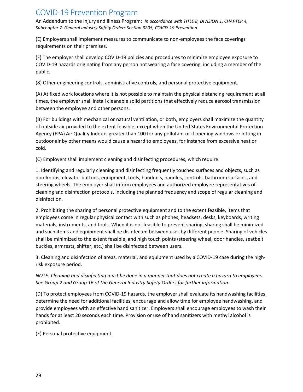An Addendum to the Injury and Illness Program: *In accordance with TITLE 8, DIVISION 1, CHAPTER 4, Subchapter 7. General Industry Safety Orders Section 3205, COVID-19 Prevention*

(E) Employers shall implement measures to communicate to non-employees the face coverings requirements on their premises.

(F) The employer shall develop COVID-19 policies and procedures to minimize employee exposure to COVID-19 hazards originating from any person not wearing a face covering, including a member of the public.

(8) Other engineering controls, administrative controls, and personal protective equipment.

(A) At fixed work locations where it is not possible to maintain the physical distancing requirement at all times, the employer shall install cleanable solid partitions that effectively reduce aerosol transmission between the employee and other persons.

(B) For buildings with mechanical or natural ventilation, or both, employers shall maximize the quantity of outside air provided to the extent feasible, except when the United States Environmental Protection Agency (EPA) Air Quality Index is greater than 100 for any pollutant or if opening windows or letting in outdoor air by other means would cause a hazard to employees, for instance from excessive heat or cold.

(C) Employers shall implement cleaning and disinfecting procedures, which require:

1. Identifying and regularly cleaning and disinfecting frequently touched surfaces and objects, such as doorknobs, elevator buttons, equipment, tools, handrails, handles, controls, bathroom surfaces, and steering wheels. The employer shall inform employees and authorized employee representatives of cleaning and disinfection protocols, including the planned frequency and scope of regular cleaning and disinfection.

2. Prohibiting the sharing of personal protective equipment and to the extent feasible, items that employees come in regular physical contact with such as phones, headsets, desks, keyboards, writing materials, instruments, and tools. When it is not feasible to prevent sharing, sharing shall be minimized and such items and equipment shall be disinfected between uses by different people. Sharing of vehicles shall be minimized to the extent feasible, and high touch points (steering wheel, door handles, seatbelt buckles, armrests, shifter, etc.) shall be disinfected between users.

3. Cleaning and disinfection of areas, material, and equipment used by a COVID-19 case during the highrisk exposure period.

*NOTE: Cleaning and disinfecting must be done in a manner that does not create a hazard to employees. See Group 2 and Group 16 of the General Industry Safety Orders for further information.*

(D) To protect employees from COVID-19 hazards, the employer shall evaluate its handwashing facilities, determine the need for additional facilities, encourage and allow time for employee handwashing, and provide employees with an effective hand sanitizer. Employers shall encourage employees to wash their hands for at least 20 seconds each time. Provision or use of hand sanitizers with methyl alcohol is prohibited.

(E) Personal protective equipment.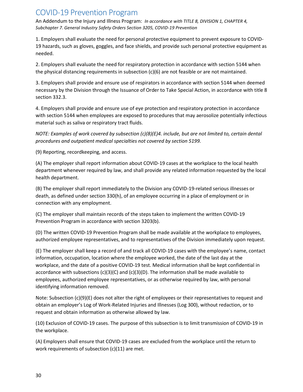An Addendum to the Injury and Illness Program: *In accordance with TITLE 8, DIVISION 1, CHAPTER 4, Subchapter 7. General Industry Safety Orders Section 3205, COVID-19 Prevention*

1. Employers shall evaluate the need for personal protective equipment to prevent exposure to COVID-19 hazards, such as gloves, goggles, and face shields, and provide such personal protective equipment as needed.

2. Employers shall evaluate the need for respiratory protection in accordance with section 5144 when the physical distancing requirements in subsection (c)(6) are not feasible or are not maintained.

3. Employers shall provide and ensure use of respirators in accordance with section 5144 when deemed necessary by the Division through the Issuance of Order to Take Special Action, in accordance with title 8 section 332.3.

4. Employers shall provide and ensure use of eye protection and respiratory protection in accordance with section 5144 when employees are exposed to procedures that may aerosolize potentially infectious material such as saliva or respiratory tract fluids.

*NOTE: Examples of work covered by subsection (c)(8)(E)4. include, but are not limited to, certain dental procedures and outpatient medical specialties not covered by section 5199.*

(9) Reporting, recordkeeping, and access.

(A) The employer shall report information about COVID-19 cases at the workplace to the local health department whenever required by law, and shall provide any related information requested by the local health department.

(B) The employer shall report immediately to the Division any COVID-19-related serious illnesses or death, as defined under section 330(h), of an employee occurring in a place of employment or in connection with any employment.

(C) The employer shall maintain records of the steps taken to implement the written COVID-19 Prevention Program in accordance with section 3203(b).

(D) The written COVID-19 Prevention Program shall be made available at the workplace to employees, authorized employee representatives, and to representatives of the Division immediately upon request.

(E) The employer shall keep a record of and track all COVID-19 cases with the employee's name, contact information, occupation, location where the employee worked, the date of the last day at the workplace, and the date of a positive COVID-19 test. Medical information shall be kept confidential in accordance with subsections  $(c)(3)(C)$  and  $(c)(3)(D)$ . The information shall be made available to employees, authorized employee representatives, or as otherwise required by law, with personal identifying information removed.

Note: Subsection (c)(9)(E) does not alter the right of employees or their representatives to request and obtain an employer's Log of Work-Related Injuries and Illnesses (Log 300), without redaction, or to request and obtain information as otherwise allowed by law.

(10) Exclusion of COVID-19 cases. The purpose of this subsection is to limit transmission of COVID-19 in the workplace.

(A) Employers shall ensure that COVID-19 cases are excluded from the workplace until the return to work requirements of subsection (c)(11) are met.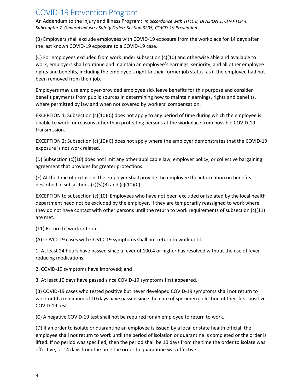An Addendum to the Injury and Illness Program: *In accordance with TITLE 8, DIVISION 1, CHAPTER 4, Subchapter 7. General Industry Safety Orders Section 3205, COVID-19 Prevention*

(B) Employers shall exclude employees with COVID-19 exposure from the workplace for 14 days after the last known COVID-19 exposure to a COVID-19 case.

(C) For employees excluded from work under subsection (c)(10) and otherwise able and available to work, employers shall continue and maintain an employee's earnings, seniority, and all other employee rights and benefits, including the employee's right to their former job status, as if the employee had not been removed from their job.

Employers may use employer-provided employee sick leave benefits for this purpose and consider benefit payments from public sources in determining how to maintain earnings, rights and benefits, where permitted by law and when not covered by workers' compensation.

EXCEPTION 1: Subsection  $(c)(10)(C)$  does not apply to any period of time during which the employee is unable to work for reasons other than protecting persons at the workplace from possible COVID-19 transmission.

EXCEPTION 2: Subsection (c)(10)(C) does not apply where the employer demonstrates that the COVID-19 exposure is not work related.

(D) Subsection (c)(10) does not limit any other applicable law, employer policy, or collective bargaining agreement that provides for greater protections.

(E) At the time of exclusion, the employer shall provide the employee the information on benefits described in subsections  $(c)(5)(B)$  and  $(c)(10)(C)$ .

EXCEPTION to subsection (c)(10): Employees who have not been excluded or isolated by the local health department need not be excluded by the employer, if they are temporarily reassigned to work where they do not have contact with other persons until the return to work requirements of subsection  $(c)(11)$ are met.

(11) Return to work criteria.

(A) COVID-19 cases with COVID-19 symptoms shall not return to work until:

1. At least 24 hours have passed since a fever of 100.4 or higher has resolved without the use of feverreducing medications;

2. COVID-19 symptoms have improved; and

3. At least 10 days have passed since COVID-19 symptoms first appeared.

(B) COVID-19 cases who tested positive but never developed COVID-19 symptoms shall not return to work until a minimum of 10 days have passed since the date of specimen collection of their first positive COVID-19 test.

(C) A negative COVID-19 test shall not be required for an employee to return to work.

(D) If an order to isolate or quarantine an employee is issued by a local or state health official, the employee shall not return to work until the period of isolation or quarantine is completed or the order is lifted. If no period was specified, then the period shall be 10 days from the time the order to isolate was effective, or 14 days from the time the order to quarantine was effective.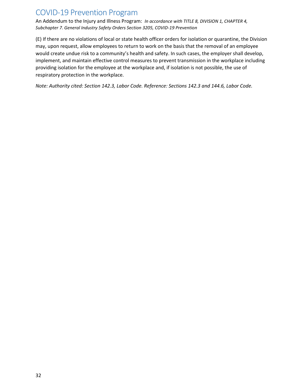An Addendum to the Injury and Illness Program: *In accordance with TITLE 8, DIVISION 1, CHAPTER 4, Subchapter 7. General Industry Safety Orders Section 3205, COVID-19 Prevention*

(E) If there are no violations of local or state health officer orders for isolation or quarantine, the Division may, upon request, allow employees to return to work on the basis that the removal of an employee would create undue risk to a community's health and safety. In such cases, the employer shall develop, implement, and maintain effective control measures to prevent transmission in the workplace including providing isolation for the employee at the workplace and, if isolation is not possible, the use of respiratory protection in the workplace.

*Note: Authority cited: Section 142.3, Labor Code. Reference: Sections 142.3 and 144.6, Labor Code.*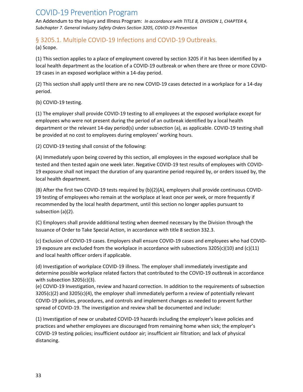An Addendum to the Injury and Illness Program: *In accordance with TITLE 8, DIVISION 1, CHAPTER 4, Subchapter 7. General Industry Safety Orders Section 3205, COVID-19 Prevention*

# <span id="page-32-0"></span>§ 3205.1. Multiple COVID-19 Infections and COVID-19 Outbreaks.

(a) Scope.

(1) This section applies to a place of employment covered by section 3205 if it has been identified by a local health department as the location of a COVID-19 outbreak or when there are three or more COVID-19 cases in an exposed workplace within a 14-day period.

(2) This section shall apply until there are no new COVID-19 cases detected in a workplace for a 14-day period.

#### (b) COVID-19 testing.

(1) The employer shall provide COVID-19 testing to all employees at the exposed workplace except for employees who were not present during the period of an outbreak identified by a local health department or the relevant 14-day period(s) under subsection (a), as applicable. COVID-19 testing shall be provided at no cost to employees during employees' working hours.

(2) COVID-19 testing shall consist of the following:

(A) Immediately upon being covered by this section, all employees in the exposed workplace shall be tested and then tested again one week later. Negative COVID-19 test results of employees with COVID-19 exposure shall not impact the duration of any quarantine period required by, or orders issued by, the local health department.

(B) After the first two COVID-19 tests required by (b)(2)(A), employers shall provide continuous COVID-19 testing of employees who remain at the workplace at least once per week, or more frequently if recommended by the local health department, until this section no longer applies pursuant to subsection (a)(2).

(C) Employers shall provide additional testing when deemed necessary by the Division through the Issuance of Order to Take Special Action, in accordance with title 8 section 332.3.

(c) Exclusion of COVID-19 cases. Employers shall ensure COVID-19 cases and employees who had COVID-19 exposure are excluded from the workplace in accordance with subsections 3205(c)(10) and (c)(11) and local health officer orders if applicable.

(d) Investigation of workplace COVID-19 illness. The employer shall immediately investigate and determine possible workplace related factors that contributed to the COVID-19 outbreak in accordance with subsection 3205(c)(3).

(e) COVID-19 Investigation, review and hazard correction. In addition to the requirements of subsection 3205(c)(2) and 3205(c)(4), the employer shall immediately perform a review of potentially relevant COVID-19 policies, procedures, and controls and implement changes as needed to prevent further spread of COVID-19. The investigation and review shall be documented and include:

(1) Investigation of new or unabated COVID-19 hazards including the employer's leave policies and practices and whether employees are discouraged from remaining home when sick; the employer's COVID-19 testing policies; insufficient outdoor air; insufficient air filtration; and lack of physical distancing.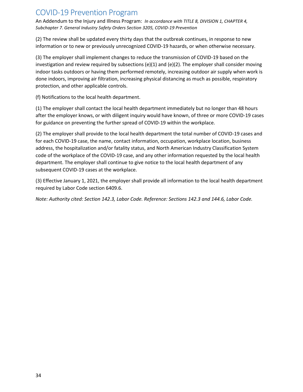An Addendum to the Injury and Illness Program: *In accordance with TITLE 8, DIVISION 1, CHAPTER 4, Subchapter 7. General Industry Safety Orders Section 3205, COVID-19 Prevention*

(2) The review shall be updated every thirty days that the outbreak continues, in response to new information or to new or previously unrecognized COVID-19 hazards, or when otherwise necessary.

(3) The employer shall implement changes to reduce the transmission of COVID-19 based on the investigation and review required by subsections (e)(1) and (e)(2). The employer shall consider moving indoor tasks outdoors or having them performed remotely, increasing outdoor air supply when work is done indoors, improving air filtration, increasing physical distancing as much as possible, respiratory protection, and other applicable controls.

(f) Notifications to the local health department.

(1) The employer shall contact the local health department immediately but no longer than 48 hours after the employer knows, or with diligent inquiry would have known, of three or more COVID-19 cases for guidance on preventing the further spread of COVID-19 within the workplace.

(2) The employer shall provide to the local health department the total number of COVID-19 cases and for each COVID-19 case, the name, contact information, occupation, workplace location, business address, the hospitalization and/or fatality status, and North American Industry Classification System code of the workplace of the COVID-19 case, and any other information requested by the local health department. The employer shall continue to give notice to the local health department of any subsequent COVID-19 cases at the workplace.

(3) Effective January 1, 2021, the employer shall provide all information to the local health department required by Labor Code section 6409.6.

*Note: Authority cited: Section 142.3, Labor Code. Reference: Sections 142.3 and 144.6, Labor Code.*